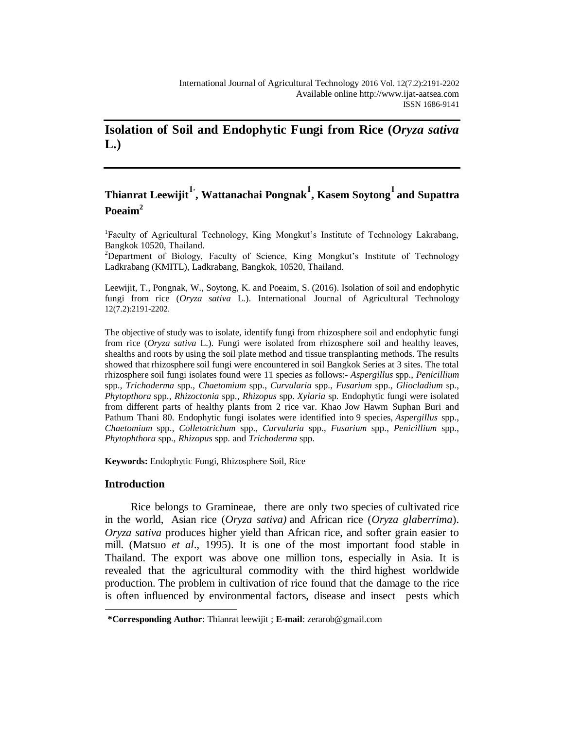## **Isolation of Soil and Endophytic Fungi from Rice (***Oryza sativa* **L.)**

# **Thianrat Leewijit1\* , Wattanachai Pongnak<sup>1</sup> , Kasem Soytong<sup>1</sup> and Supattra Poeaim<sup>2</sup>**

<sup>1</sup>Faculty of Agricultural Technology, King Mongkut's Institute of Technology Lakrabang, Bangkok 10520, Thailand.

<sup>2</sup>Department of Biology, Faculty of Science, King Mongkut's Institute of Technology Ladkrabang (KMITL), Ladkrabang, Bangkok, 10520, Thailand.

Leewijit, T., Pongnak, W., Soytong, K. and Poeaim, S. (2016). Isolation of soil and endophytic fungi from rice (*Oryza sativa* L.). International Journal of Agricultural Technology 12(7.2):2191-2202.

The objective of study was to isolate, identify fungi from rhizosphere soil and endophytic fungi from rice (*Oryza sativa* L.). Fungi were isolated from rhizosphere soil and healthy leaves, shealths and roots by using the soil plate method and tissue transplanting methods. The results showed that rhizosphere soil fungi were encountered in soil Bangkok Series at 3 sites. The total rhizosphere soil fungi isolates found were 11 species as follows:- *Aspergillus* spp., *Penicillium* spp., *Trichoderma* spp., *Chaetomium* spp., *Curvularia* spp., *Fusarium* spp., *Gliocladium* sp., *Phytopthora* spp., *Rhizoctonia* spp., *Rhizopus* spp. *Xylaria* sp*.* Endophytic fungi were isolated from different parts of healthy plants from 2 rice var. Khao Jow Hawm Suphan Buri and Pathum Thani 80. Endophytic fungi isolates were identified into 9 species, *Aspergillus* spp., *Chaetomium* spp., *Colletotrichum* spp., *Curvularia* spp., *Fusarium* spp., *Penicillium* spp., *Phytophthora* spp., *Rhizopus* spp. and *Trichoderma* spp.

**Keywords:** Endophytic Fungi, Rhizosphere Soil, Rice

## **Introduction**

l

Rice belongs to Gramineae, there are only two species of cultivated rice in the world, Asian rice (*Oryza sativa)* and African rice (*Oryza glaberrima*). *Oryza sativa* produces higher yield than African rice, and softer grain easier to mill. (Matsuo *et al*., 1995). It is one of the most important food stable in Thailand. The export was above one million tons, especially in Asia. It is revealed that the agricultural commodity with the third highest worldwide production. The problem in cultivation of rice found that the damage to the rice is often influenced by environmental factors, disease and insect pests which

**<sup>\*</sup>Corresponding Author**: Thianrat leewijit ; **E-mail**: zerarob@gmail.com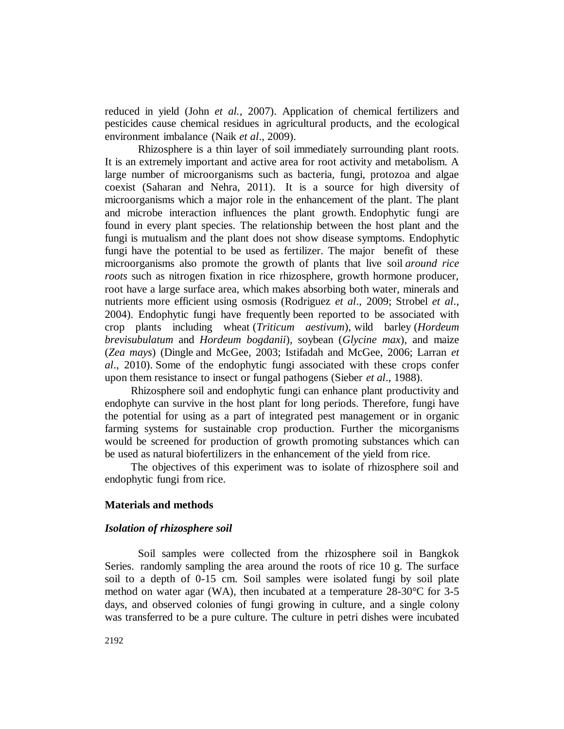reduced in yield (John *et al.,* 2007). Application of chemical fertilizers and pesticides cause chemical residues in agricultural products, and the ecological environment imbalance (Naik *et al*., 2009).

Rhizosphere is a thin layer of soil immediately surrounding plant roots. It is an extremely important and active area for root activity and metabolism. A large number of microorganisms such as bacteria, fungi, protozoa and algae coexist (Saharan and Nehra, 2011). It is a source for high diversity of microorganisms which a major role in the enhancement of the plant. The plant and microbe interaction influences the plant growth. Endophytic fungi are found in every plant species. The relationship between the host plant and the fungi is mutualism and the plant does not show disease symptoms. Endophytic fungi have the potential to be used as fertilizer. The major benefit of these microorganisms also promote the growth of plants that live soil *around rice roots* such as nitrogen fixation in rice rhizosphere, growth hormone producer, root have a large surface area, which makes absorbing both water, minerals and nutrients more efficient using osmosis (Rodriguez *et al*., 2009; Strobel *et al*., 2004). Endophytic fungi have frequently been reported to be associated with crop plants including wheat (*Triticum aestivum*), wild barley (*Hordeum brevisubulatum* and *Hordeum bogdanii*), soybean (*Glycine max*), and maize (*Zea mays*) (Dingle and McGee, 2003; Istifadah and McGee, 2006; Larran *et al*., 2010). Some of the endophytic fungi associated with these crops confer upon them resistance to insect or fungal pathogens (Sieber *et al*., 1988).

Rhizosphere soil and endophytic fungi can enhance plant productivity and endophyte can survive in the host plant for long periods. Therefore, fungi have the potential for using as a part of integrated pest management or in organic farming systems for sustainable crop production. Further the micorganisms would be screened for production of growth promoting substances which can be used as natural biofertilizers in the enhancement of the yield from rice.

The objectives of this experiment was to isolate of rhizosphere soil and endophytic fungi from rice.

#### **Materials and methods**

## *Isolation of rhizosphere soil*

Soil samples were collected from the rhizosphere soil in Bangkok Series. randomly sampling the area around the roots of rice 10 g. The surface soil to a depth of 0-15 cm. Soil samples were isolated fungi by soil plate method on water agar (WA), then incubated at a temperature  $28-30$  °C for 3-5 days, and observed colonies of fungi growing in culture, and a single colony was transferred to be a pure culture. The culture in petri dishes were incubated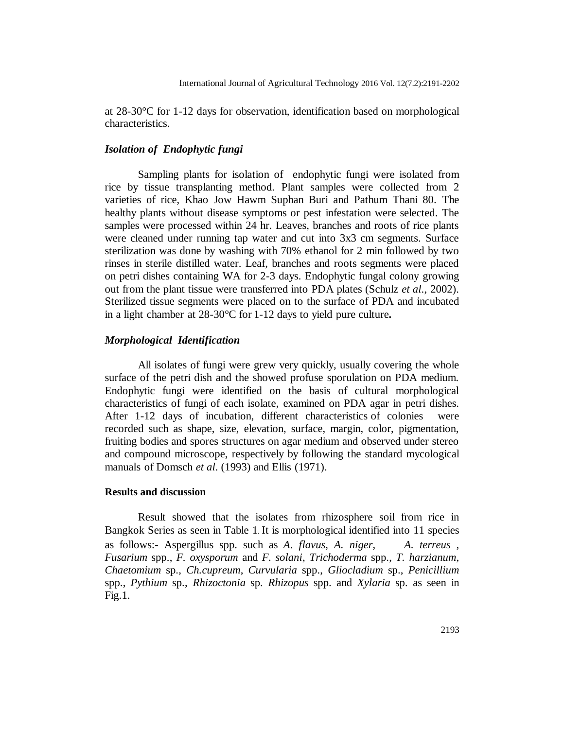at  $28-30$  °C for 1-12 days for observation, identification based on morphological characteristics.

## *Isolation of Endophytic fungi*

Sampling plants for isolation of endophytic fungi were isolated from rice by tissue transplanting method. Plant samples were collected from 2 varieties of rice, Khao Jow Hawm Suphan Buri and Pathum Thani 80. The healthy plants without disease symptoms or pest infestation were selected. The samples were processed within 24 hr. Leaves, branches and roots of rice plants were cleaned under running tap water and cut into 3x3 cm segments. Surface sterilization was done by washing with 70% ethanol for 2 min followed by two rinses in sterile distilled water. Leaf, branches and roots segments were placed on petri dishes containing WA for 2-3 days. Endophytic fungal colony growing out from the plant tissue were transferred into PDA plates (Schulz *et al*., 2002). Sterilized tissue segments were placed on to the surface of PDA and incubated in a light chamber at  $28-30 \text{ C}$  for 1-12 days to yield pure culture.

## *Morphological Identification*

All isolates of fungi were grew very quickly, usually covering the whole surface of the petri dish and the showed profuse sporulation on PDA medium. Endophytic fungi were identified on the basis of cultural morphological characteristics of fungi of each isolate, examined on PDA agar in petri dishes. After 1-12 days of incubation, different characteristics of colonies were recorded such as shape, size, elevation, surface, margin, color, pigmentation, fruiting bodies and spores structures on agar medium and observed under stereo and compound microscope, respectively by following the standard mycological manuals of Domsch *et al*. (1993) and Ellis (1971).

## **Results and discussion**

Result showed that the isolates from rhizosphere soil from rice in Bangkok Series as seen in Table 1. It is morphological identified into 11 species as follows:- Aspergillus spp. such as *A. flavus*, *A. niger*, *A. terreus* , *Fusarium* spp., *F. oxysporum* and *F. solani*, *Trichoderma* spp., *T. harzianum*, *Chaetomium* sp., *Ch.cupreum*, *Curvularia* spp., *Gliocladium* sp., *Penicillium*  spp., *Pythium* sp., *Rhizoctonia* sp. *Rhizopus* spp. and *Xylaria* sp. as seen in  $Fig.1.$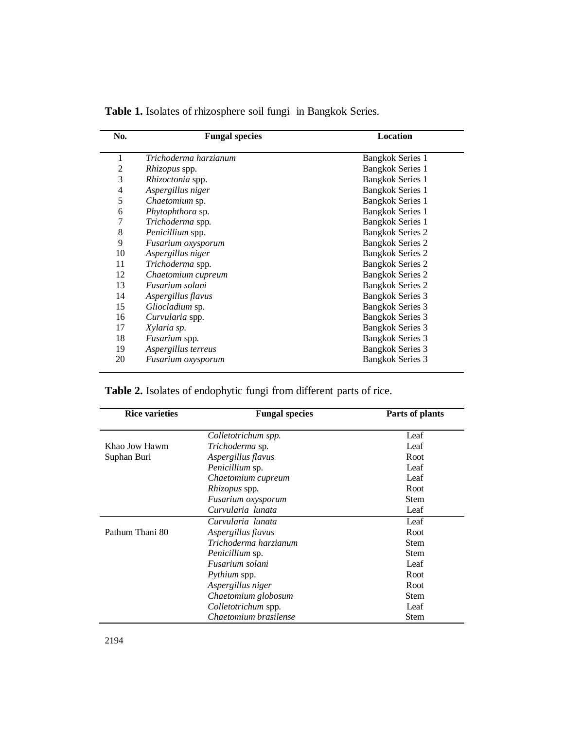| No.            | <b>Fungal species</b> | Location                |
|----------------|-----------------------|-------------------------|
| 1              | Trichoderma harzianum | <b>Bangkok Series 1</b> |
| $\overline{2}$ | Rhizopus spp.         | <b>Bangkok Series 1</b> |
| 3              | Rhizoctonia spp.      | <b>Bangkok Series 1</b> |
| 4              | Aspergillus niger     | <b>Bangkok Series 1</b> |
| 5              | Chaetomium sp.        | <b>Bangkok Series 1</b> |
| 6              | Phytophthora sp.      | <b>Bangkok Series 1</b> |
| 7              | Trichoderma spp.      | <b>Bangkok Series 1</b> |
| 8              | Penicillium spp.      | <b>Bangkok Series 2</b> |
| 9              | Fusarium oxysporum    | <b>Bangkok Series 2</b> |
| 10             | Aspergillus niger     | <b>Bangkok Series 2</b> |
| 11             | Trichoderma spp.      | <b>Bangkok Series 2</b> |
| 12             | Chaetomium cupreum    | <b>Bangkok Series 2</b> |
| 13             | Fusarium solani       | <b>Bangkok Series 2</b> |
| 14             | Aspergillus flavus    | <b>Bangkok Series 3</b> |
| 15             | Gliocladium sp.       | <b>Bangkok Series 3</b> |
| 16             | Curvularia spp.       | <b>Bangkok Series 3</b> |
| 17             | Xylaria sp.           | <b>Bangkok Series 3</b> |
| 18             | Fusarium spp.         | <b>Bangkok Series 3</b> |
| 19             | Aspergillus terreus   | <b>Bangkok Series 3</b> |
| 20             | Fusarium oxysporum    | <b>Bangkok Series 3</b> |
|                |                       |                         |

**Table 1.** Isolates of rhizosphere soil fungi in Bangkok Series.

**Table 2.** Isolates of endophytic fungi from different parts of rice.

| <b>Rice varieties</b> | <b>Fungal species</b>  | Parts of plants |
|-----------------------|------------------------|-----------------|
|                       | Colletotrichum spp.    | Leaf            |
| Khao Jow Hawm         | <i>Trichoderma</i> sp. | Leaf            |
| Suphan Buri           | Aspergillus flavus     | Root            |
|                       | <i>Penicillium</i> sp. | Leaf            |
|                       | Chaetomium cupreum     | Leaf            |
|                       | <i>Rhizopus</i> spp.   | Root            |
|                       | Fusarium oxysporum     | <b>Stem</b>     |
|                       | Curvularia lunata      | Leaf            |
|                       | Curvularia lunata      | Leaf            |
| Pathum Thani 80       | Aspergillus fiavus     | Root            |
|                       | Trichoderma harzianum  | <b>Stem</b>     |
|                       | <i>Penicillium</i> sp. | <b>Stem</b>     |
|                       | Fusarium solani        | Leaf            |
|                       | <i>Pythium</i> spp.    | Root            |
|                       | Aspergillus niger      | Root            |
|                       | Chaetomium globosum    | <b>Stem</b>     |
|                       | Colletotrichum spp.    | Leaf            |
|                       | Chaetomium brasilense  | <b>Stem</b>     |

l,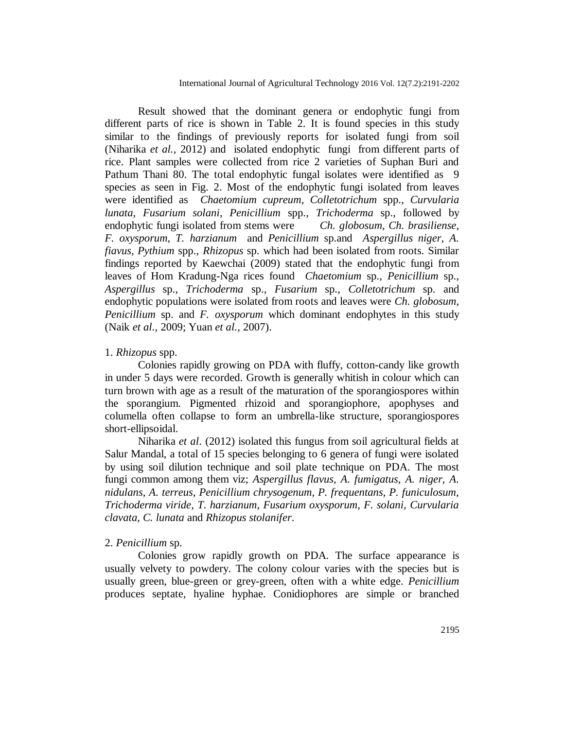Result showed that the dominant genera or endophytic fungi from different parts of rice is shown in Table 2. It is found species in this study similar to the findings of previously reports for isolated fungi from soil (Niharika *et al.,* 2012) and isolated endophytic fungi from different parts of rice. Plant samples were collected from rice 2 varieties of Suphan Buri and Pathum Thani 80. The total endophytic fungal isolates were identified as 9 species as seen in Fig. 2. Most of the endophytic fungi isolated from leaves were identified as *Chaetomium cupreum*, *Colletotrichum* spp., *Curvularia lunata*, *Fusarium solani*, *Penicillium* spp., *Trichoderma* sp., followed by endophytic fungi isolated from stems were *Ch. globosum*, *Ch. brasiliense*, *F. oxysporum*, *T. harzianum* and *Penicillium* sp.and *Aspergillus niger*, *A. fiavus, Pythium* spp., *Rhizopus* sp. which had been isolated from roots. Similar findings reported by Kaewchai (2009) stated that the endophytic fungi from leaves of Hom Kradung-Nga rices found *Chaetomium* sp., *Penicillium* sp., *Aspergillus* sp., *Trichoderma* sp., *Fusarium* sp., *Colletotrichum* sp. and endophytic populations were isolated from roots and leaves were *Ch. globosum*, *Penicillium* sp. and *F. oxysporum* which dominant endophytes in this study (Naik *et al.,* 2009; Yuan *et al.,* 2007).

#### 1. *Rhizopus* spp.

Colonies rapidly growing on PDA with fluffy, cotton-candy like growth in under 5 days were recorded. Growth is generally whitish in colour which can turn brown with age as a result of the maturation of the sporangiospores within the sporangium. Pigmented rhizoid and sporangiophore, apophyses and columella often collapse to form an umbrella-like structure, sporangiospores short-ellipsoidal.

Niharika *et al*. (2012) isolated this fungus from soil agricultural fields at Salur Mandal, a total of 15 species belonging to 6 genera of fungi were isolated by using soil dilution technique and soil plate technique on PDA. The most fungi common among them viz; *Aspergillus flavus*, *A. fumigatus*, *A. niger*, *A. nidulans*, *A. terreus*, *Penicillium chrysogenum, P. frequentans, P. funiculosum, Trichoderma viride, T. harzianum, Fusarium oxysporum, F. solani, Curvularia clavata, C. lunata* and *Rhizopus stolanifer*.

#### 2. *Penicillium* sp.

Colonies grow rapidly growth on PDA. The surface appearance is usually velvety to powdery. The colony colour varies with the species but is usually green, blue-green or grey-green, often with a white edge. *Penicillium* produces septate, hyaline hyphae. Conidiophores are simple or branched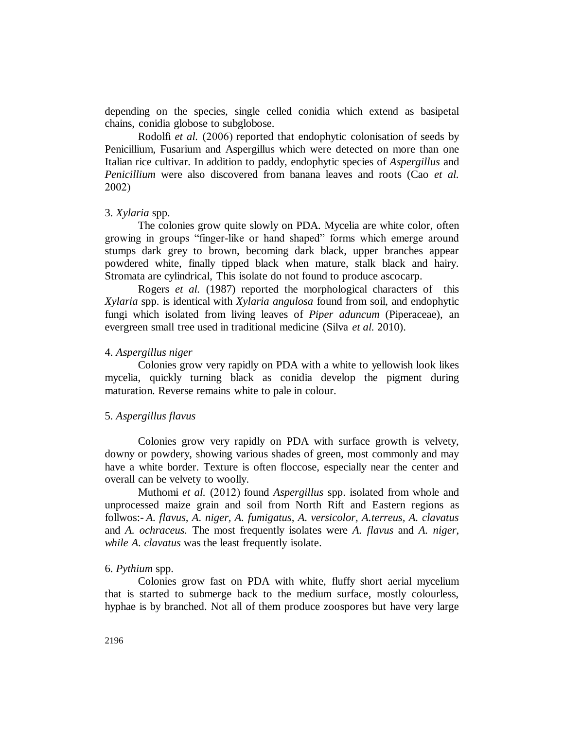depending on the species, single celled conidia which extend as basipetal chains, conidia globose to subglobose.

Rodolfi *et al.* (2006) reported that endophytic colonisation of seeds by Penicillium, Fusarium and Aspergillus which were detected on more than one Italian rice cultivar. In addition to paddy, endophytic species of *Aspergillus* and *Penicillium* were also discovered from banana leaves and roots (Cao *et al.* 2002)

## 3. *Xylaria* spp.

The colonies grow quite slowly on PDA. Mycelia are white color, often growing in groups "finger-like or hand shaped" forms which emerge around stumps dark grey to brown, becoming dark black, upper branches appear powdered white, finally tipped black when mature, stalk black and hairy. Stromata are cylindrical, This isolate do not found to produce ascocarp.

Rogers *et al.* (1987) reported the morphological characters of this *Xylaria* spp. is identical with *Xylaria angulosa* found from soil, and endophytic fungi which isolated from living leaves of *Piper aduncum* (Piperaceae), an evergreen small tree used in traditional medicine (Silva *et al.* 2010).

#### 4. *Aspergillus niger*

Colonies grow very rapidly on PDA with a white to yellowish look likes mycelia, quickly turning black as conidia develop the pigment during maturation. Reverse remains white to pale in colour.

#### 5. *Aspergillus flavus*

Colonies grow very rapidly on PDA with surface growth is velvety, downy or powdery, showing various shades of green, most commonly and may have a white border. Texture is often floccose, especially near the center and overall can be velvety to woolly.

Muthomi *et al.* (2012) found *Aspergillus* spp. isolated from whole and unprocessed maize grain and soil from North Rift and Eastern regions as follwos:- *A. flavus, A. niger, A. fumigatus, A. versicolor, A.terreus, A. clavatus*  and *A. ochraceus.* The most frequently isolates were *A. flavus* and *A. niger*, *while A. clavatus* was the least frequently isolate.

## 6. *Pythium* spp.

Colonies grow fast on PDA with white, fluffy short aerial mycelium that is started to submerge back to the medium surface, mostly colourless, hyphae is by branched. Not all of them produce zoospores but have very large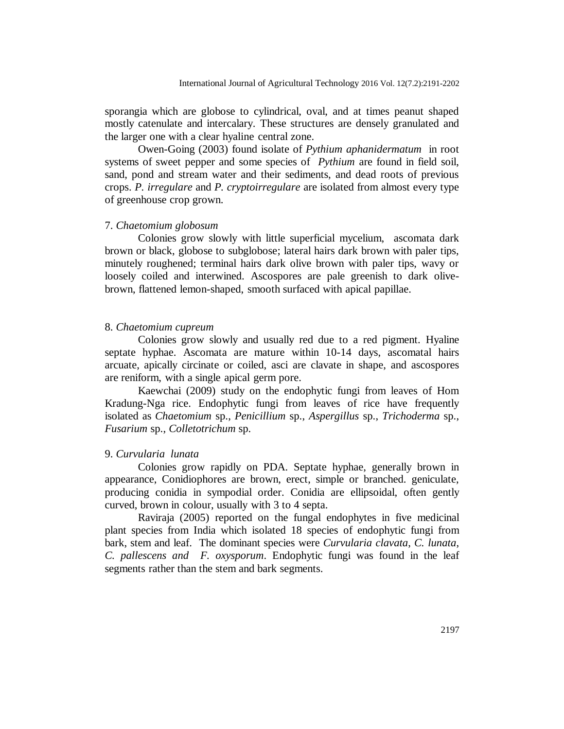sporangia which are globose to cylindrical, oval, and at times peanut shaped mostly catenulate and intercalary. These structures are densely granulated and the larger one with a clear hyaline central zone.

Owen-Going (2003) found isolate of *Pythium aphanidermatum* in root systems of sweet pepper and some species of *Pythium* are found in field soil, sand, pond and stream water and their sediments, and dead roots of previous crops. *P. irregulare* and *P. cryptoirregulare* are isolated from almost every type of greenhouse crop grown.

#### 7. *Chaetomium globosum*

Colonies grow slowly with little superficial mycelium, ascomata dark brown or black, globose to subglobose; lateral hairs dark brown with paler tips, minutely roughened; terminal hairs dark olive brown with paler tips, wavy or loosely coiled and interwined. Ascospores are pale greenish to dark olivebrown, flattened lemon-shaped, smooth surfaced with apical papillae.

#### 8. *Chaetomium cupreum*

Colonies grow slowly and usually red due to a red pigment. Hyaline septate hyphae. Ascomata are mature within 10-14 days, ascomatal hairs arcuate, apically circinate or coiled, asci are clavate in shape, and ascospores are reniform, with a single apical germ pore.

Kaewchai (2009) study on the endophytic fungi from leaves of Hom Kradung-Nga rice. Endophytic fungi from leaves of rice have frequently isolated as *Chaetomium* sp., *Penicillium* sp., *Aspergillus* sp., *Trichoderma* sp., *Fusarium* sp., *Colletotrichum* sp.

#### 9. *Curvularia lunata*

Colonies grow rapidly on PDA. Septate hyphae, generally brown in appearance, Conidiophores are brown, erect, simple or branched. geniculate, producing conidia in sympodial order. Conidia are ellipsoidal, often gently curved, brown in colour, usually with 3 to 4 septa.

Raviraja (2005) reported on the fungal endophytes in five medicinal plant species from India which isolated 18 species of endophytic fungi from bark, stem and leaf. The dominant species were *Curvularia clavata*, *C. lunata*, *C. pallescens and F. oxysporum*. Endophytic fungi was found in the leaf segments rather than the stem and bark segments.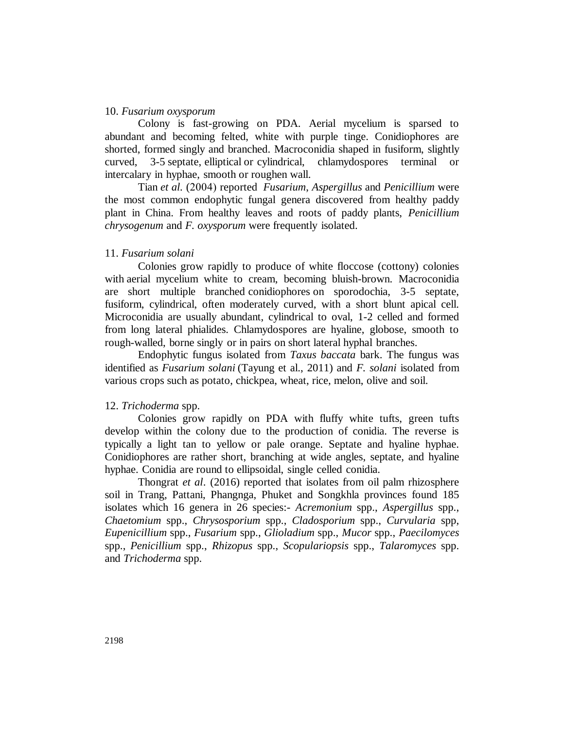## 10. *[Fusarium oxysporum](http://thunderhouse4-yuri.blogspot.ca/2012/06/fusarium-oxysporum.html)*

Colony is fast-growing on PDA. Aerial mycelium is sparsed to abundant and becoming felted, white with purple tinge. Conidiophores are shorted, formed singly and branched. Macroconidia shaped in fusiform, slightly curved, 3-5 septate, elliptical or cylindrical, chlamydospores terminal or intercalary in hyphae, smooth or roughen wall.

Tian *et al.* (2004) reported *Fusarium*, *Aspergillus* and *Penicillium* were the most common endophytic fungal genera discovered from healthy paddy plant in China. From healthy leaves and roots of paddy plants, *Penicillium chrysogenum* and *F. oxysporum* were frequently isolated.

## 11. *Fusarium solani*

Colonies grow rapidly to produce of white floccose (cottony) colonies with aerial mycelium white to cream, becoming bluish-brown. Macroconidia are short multiple branched conidiophores on sporodochia, 3-5 septate, fusiform, cylindrical, often moderately curved, with a short blunt apical cell. Microconidia are usually abundant, cylindrical to oval, 1-2 celled and formed from long lateral phialides. Chlamydospores are hyaline, globose, smooth to rough-walled, borne singly or in pairs on short lateral hyphal branches.

Endophytic fungus isolated from *Taxus baccata* bark. The fungus was identified as *Fusarium solani* (Tayung et al., 2011) and *F. solani* isolated from various crops such as potato, chickpea, wheat, rice, melon, olive and soil.

#### 12. *Trichoderma* spp.

Colonies grow rapidly on PDA with fluffy white tufts, green tufts develop within the colony due to the production of conidia. The reverse is typically a light tan to yellow or pale orange. Septate and hyaline hyphae. Conidiophores are rather short, branching at wide angles, septate, and hyaline hyphae. Conidia are round to ellipsoidal, single celled conidia.

Thongrat *et al*. (2016) reported that isolates from oil palm rhizosphere soil in Trang, Pattani, Phangnga, Phuket and Songkhla provinces found 185 isolates which 16 genera in 26 species:- *Acremonium* spp., *Aspergillus* spp., *Chaetomium* spp., *Chrysosporium* spp., *Cladosporium* spp., *Curvularia* spp, *Eupenicillium* spp., *Fusarium* spp., *Glioladium* spp., *Mucor* spp., *Paecilomyces* spp., *Penicillium* spp., *Rhizopus* spp., *Scopulariopsis* spp., *Talaromyces* spp. and *Trichoderma* spp.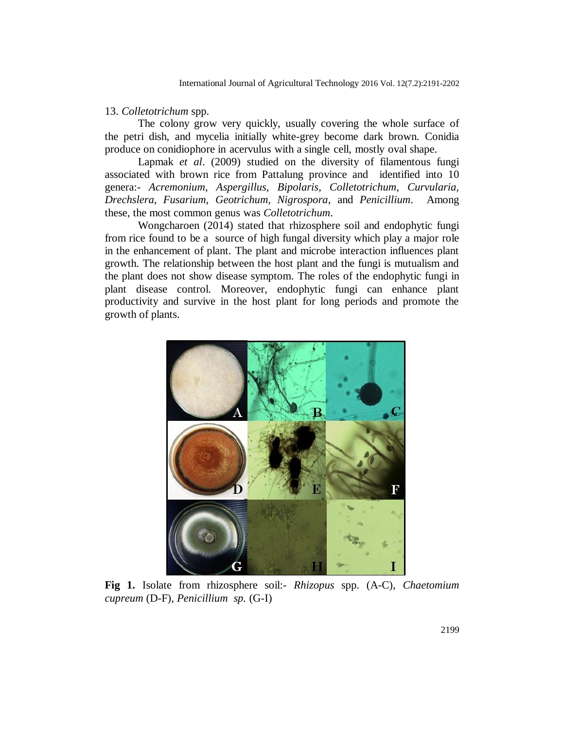## 13. *Colletotrichum* spp.

The colony grow very quickly, usually covering the whole surface of the petri dish, and mycelia initially white-grey become dark brown. Conidia produce on conidiophore in acervulus with a single cell, mostly oval shape.

Lapmak *et al*. (2009) studied on the diversity of filamentous fungi associated with brown rice from Pattalung province and identified into 10 genera:- *Acremonium*, *Aspergillus, Bipolaris*, *Colletotrichum*, *Curvularia, Drechslera, Fusarium, Geotrichum, Nigrospora*, and *Penicillium*. Among these, the most common genus was *Colletotrichum*.

Wongcharoen (2014) stated that rhizosphere soil and endophytic fungi from rice found to be a source of high fungal diversity which play a major role in the enhancement of plant. The plant and microbe interaction influences plant growth. The relationship between the host plant and the fungi is mutualism and the plant does not show disease symptom. The roles of the endophytic fungi in plant disease control. Moreover, endophytic fungi can enhance plant productivity and survive in the host plant for long periods and promote the growth of plants.



**Fig 1.** Isolate from rhizosphere soil:- *Rhizopus* spp. (A-C), *Chaetomium cupreum* (D-F)*, Penicillium sp.* (G-I)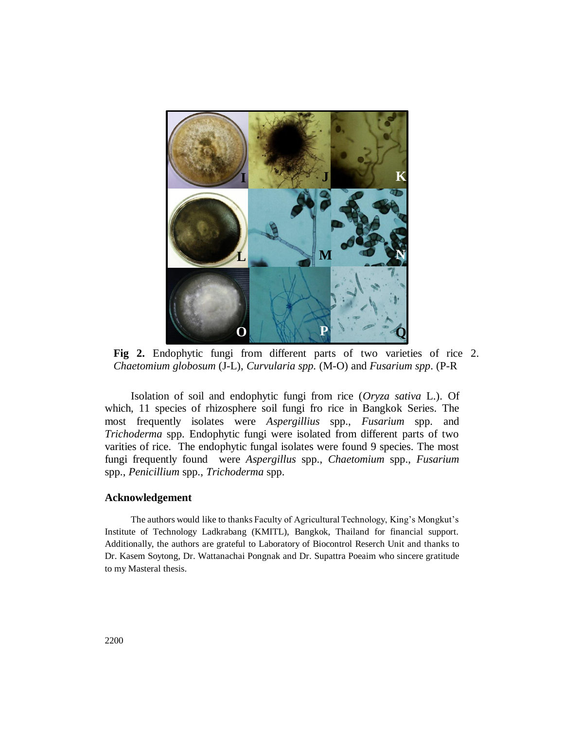

 $\mathbf{A} \cdot \mathbf{A}$  **C Fig 2.** Endophytic fungi from different parts of two varieties of rice 2. *Chaetomium globosum* (J-L), *Curvularia spp.* (M-O) and *Fusarium spp*. (P-R

Isolation of soil and endophytic fungi from rice (*Oryza sativa* L.). Of which, 11 species of rhizosphere soil fungi fro rice in Bangkok Series. The most frequently isolates were *Aspergillius* spp., *Fusarium* spp. and *Trichoderma* spp. Endophytic fungi were isolated from different parts of two varities of rice. The endophytic fungal isolates were found 9 species. The most fungi frequently found were *Aspergillus* spp., *Chaetomium* spp., *Fusarium* spp., *Penicillium* spp., *Trichoderma* spp.

#### **Acknowledgement**

The authors would like to thanks Faculty of Agricultural Technology, King's Mongkut's Institute of Technology Ladkrabang (KMITL), Bangkok, Thailand for financial support. Additionally, the authors are grateful to Laboratory of Biocontrol Reserch Unit and thanks to Dr. Kasem Soytong, Dr. Wattanachai Pongnak and Dr. Supattra Poeaim who sincere gratitude to my Masteral thesis.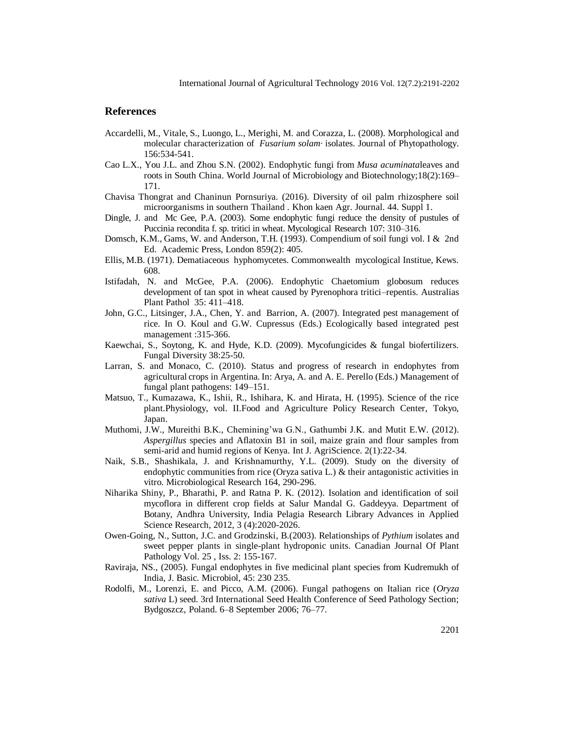## **References**

- Accardelli, M., Vitale, S., Luongo, L., Merighi, M. and Corazza, L. (2008). Morphological and molecular characterization of *Fusarium solam·*isolates. Journal of Phytopathology. 156:534-541.
- Cao L.X., You J.L. and Zhou S.N. (2002). Endophytic fungi from *Musa acuminata*leaves and roots in South China. World Journal of Microbiology and Biotechnology;18(2):169– 171.
- Chavisa Thongrat and Chaninun Pornsuriya. (2016). Diversity of oil palm rhizosphere soil microorganisms in southern Thailand . Khon kaen Agr. Journal. 44. Suppl 1.
- Dingle, J. and Mc Gee, P.A. (2003). Some endophytic fungi reduce the density of pustules of Puccinia recondita f. sp. tritici in wheat. [Mycological Research](https://www.google.co.th/url?sa=t&rct=j&q=&esrc=s&source=books&cd=1&cad=rja&uact=8&ved=0ahUKEwjpj8bOi5zPAhXKto8KHd2CBvsQFggaMAA&url=http%3A%2F%2Fwww.sciencedirect.com%2Fscience%2Fjournal%2F09537562&usg=AFQjCNGnFWTnPyAqqLPhhlXJstfhvXkJzg&sig2=4k14Z5CNAWOH0F-hvwx98g&bvm=bv.133178914,d.c2I) 107: 310–316.
- Domsch, K.M., Gams, W. and Anderson, T.H. (1993). Compendium of soil fungi vol. I & 2nd Ed. Academic Press, London 859(2): 405.
- Ellis, M.B. (1971). Dematiaceous hyphomycetes. Commonwealth mycological Institue, Kews. 608.
- Istifadah, N. and McGee, P.A. (2006). Endophytic Chaetomium globosum reduces development of tan spot in wheat caused by Pyrenophora tritici–repentis. Australias Plant Pathol 35: 411–418.
- John, G.C., Litsinger, J.A., Chen, Y. and Barrion, A. (2007). Integrated pest management of rice. In O. Koul and G.W. Cupressus (Eds.) Ecologically based integrated pest management :315-366.
- Kaewchai, S., Soytong, K. and Hyde, K.D. (2009). Mycofungicides & fungal biofertilizers. Fungal Diversity 38:25-50.
- Larran, S. and Monaco, C. (2010). Status and progress of research in endophytes from agricultural crops in Argentina. In: Arya, A. and A. E. Perello (Eds.) Management of fungal plant pathogens: 149–151.
- Matsuo, T., Kumazawa, K., Ishii, R., Ishihara, K. and Hirata, H. (1995). Science of the rice plant.Physiology, vol. II.Food and Agriculture Policy Research Center, Tokyo, Japan.
- Muthomi, J.W., Mureithi B.K., Chemining'wa G.N., Gathumbi J.K. and Mutit E.W. (2012). *Aspergillus* species and Aflatoxin B1 in soil, maize grain and flour samples from semi-arid and humid regions of Kenya. Int J. AgriScience. 2(1):22-34.
- Naik, S.B., Shashikala, J. and Krishnamurthy, Y.L. (2009). Study on the diversity of endophytic communities from rice (Oryza sativa L.) & their antagonistic activities in vitro. Microbiological Research 164, 290-296.
- Niharika Shiny, P., Bharathi, P. and Ratna P. K. (2012). Isolation and identification of soil mycoflora in different crop fields at Salur Mandal G. Gaddeyya. Department of Botany, Andhra University, India Pelagia Research Library Advances in Applied Science Research, 2012, 3 (4):2020-2026.
- Owen-Going, N., Sutton, J.C. and Grodzinski, B.(2003). [Relationships of](http://www.tandfonline.com/doi/abs/10.1080/07060660309507064) *Pythium* isolates and [sweet pepper plants in single-plant hydroponic units.](http://www.tandfonline.com/doi/abs/10.1080/07060660309507064) [Canadian Journal Of Plant](http://www.tandfonline.com/toc/tcjp20/25/2)  [Pathology](http://www.tandfonline.com/toc/tcjp20/25/2) Vol. 25 , Iss. 2: 155-167.
- Raviraja, NS., (2005). Fungal endophytes in five medicinal plant species from Kudremukh of India, J. Basic. Microbiol, 45: 230 235.
- Rodolfi, M., Lorenzi, E. and Picco, A.M. (2006). Fungal pathogens on Italian rice (*Oryza sativa* L) seed. 3rd International Seed Health Conference of Seed Pathology Section; Bydgoszcz, Poland. 6–8 September 2006; 76–77.